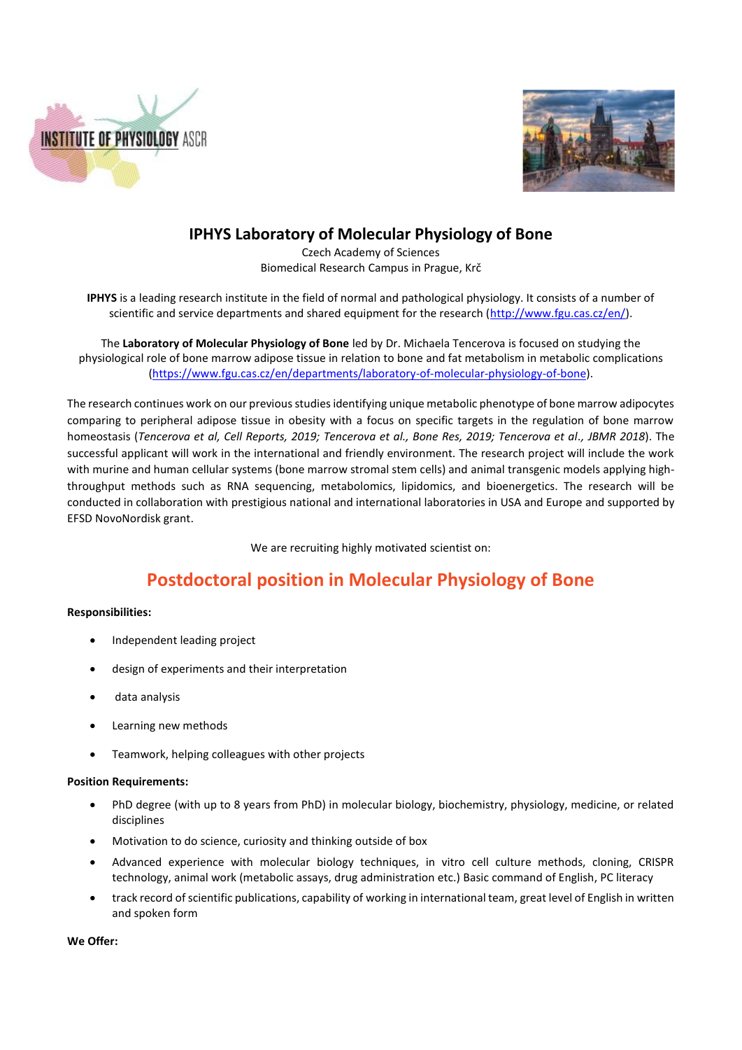



## **IPHYS Laboratory of Molecular Physiology of Bone**

Czech Academy of Sciences Biomedical Research Campus in Prague, Krč

**IPHYS** is a leading research institute in the field of normal and pathological physiology. It consists of a number of scientific and service departments and shared equipment for the research [\(http://www.fgu.cas.cz/en/\)](http://www.fgu.cas.cz/en/).

The **Laboratory of Molecular Physiology of Bone** led by Dr. Michaela Tencerova is focused on studying the physiological role of bone marrow adipose tissue in relation to bone and fat metabolism in metabolic complications [\(https://www.fgu.cas.cz/en/departments/laboratory-of-molecular-physiology-of-bone\)](https://www.fgu.cas.cz/en/departments/laboratory-of-molecular-physiology-of-bone).

The research continues work on our previous studies identifying unique metabolic phenotype of bone marrow adipocytes comparing to peripheral adipose tissue in obesity with a focus on specific targets in the regulation of bone marrow homeostasis (*Tencerova et al, Cell Reports, 2019; Tencerova et al., Bone Res, 2019; Tencerova et al., JBMR 2018*). The successful applicant will work in the international and friendly environment. The research project will include the work with murine and human cellular systems (bone marrow stromal stem cells) and animal transgenic models applying highthroughput methods such as RNA sequencing, metabolomics, lipidomics, and bioenergetics. The research will be conducted in collaboration with prestigious national and international laboratories in USA and Europe and supported by EFSD NovoNordisk grant.

We are recruiting highly motivated scientist on:

# **Postdoctoral position in Molecular Physiology of Bone**

#### **Responsibilities:**

- Independent leading project
- design of experiments and their interpretation
- data analysis
- Learning new methods
- Teamwork, helping colleagues with other projects

#### **Position Requirements:**

- PhD degree (with up to 8 years from PhD) in molecular biology, biochemistry, physiology, medicine, or related disciplines
- Motivation to do science, curiosity and thinking outside of box
- Advanced experience with molecular biology techniques, in vitro cell culture methods, cloning, CRISPR technology, animal work (metabolic assays, drug administration etc.) Basic command of English, PC literacy
- track record of scientific publications, capability of working in international team, great level of English in written and spoken form

**We Offer:**